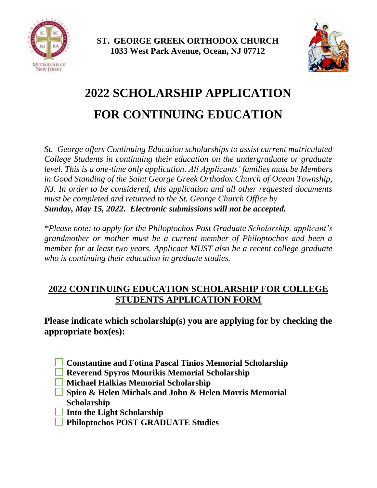



# **2022 SCHOLARSHIP APPLICATION FOR CONTINUING EDUCATION**

*St. George offers Continuing Education scholarships to assist current matriculated College Students in continuing their education on the undergraduate or graduate level. This is a one-time only application. All Applicants' families must be Members in Good Standing of the Saint George Greek Orthodox Church of Ocean Township, NJ. In order to be considered, this application and all other requested documents must be completed and returned to the St. George Church Office by Sunday, May 15, 2022. Electronic submissions will not be accepted.*

*\*Please note: to apply for the Philoptochos Post Graduate Scholarship, applicant's grandmother or mother must be a current member of Philoptochos and been a member for at least two years. Applicant MUST also be a recent college graduate who is continuing their education in graduate studies.* 

# **2022 CONTINUING EDUCATION SCHOLARSHIP FOR COLLEGE STUDENTS APPLICATION FORM**

**Please indicate which scholarship(s) you are applying for by checking the appropriate box(es):**

- **Constantine and Fotina Pascal Tinios Memorial Scholarship**
- **Reverend Spyros Mourikis Memorial Scholarship**
- **Michael Halkias Memorial Scholarship**
- **Spiro & Helen Michals and John & Helen Morris Memorial Scholarship**
- **Into the Light Scholarship**
- **Philoptochos POST GRADUATE Studies**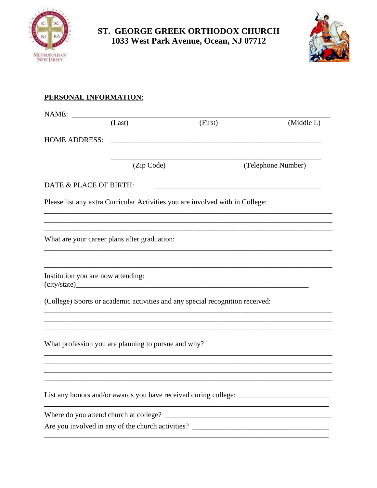



### PERSONAL INFORMATION:

| NAME:                              |                                                     |                                                                               |                    |
|------------------------------------|-----------------------------------------------------|-------------------------------------------------------------------------------|--------------------|
|                                    | (Last)                                              | (First)                                                                       | (Middle I.)        |
| <b>HOME ADDRESS:</b>               |                                                     |                                                                               |                    |
|                                    |                                                     |                                                                               |                    |
|                                    | (Zip Code)                                          |                                                                               | (Telephone Number) |
| DATE & PLACE OF BIRTH:             |                                                     |                                                                               |                    |
|                                    |                                                     | Please list any extra Curricular Activities you are involved with in College: |                    |
|                                    | What are your career plans after graduation:        |                                                                               |                    |
|                                    |                                                     |                                                                               |                    |
| Institution you are now attending: |                                                     | $\text{(city/state)}$                                                         |                    |
|                                    |                                                     | (College) Sports or academic activities and any special recognition received: |                    |
|                                    |                                                     |                                                                               |                    |
|                                    | What profession you are planning to pursue and why? |                                                                               |                    |
|                                    |                                                     |                                                                               |                    |
|                                    |                                                     |                                                                               |                    |
|                                    |                                                     |                                                                               |                    |
|                                    |                                                     |                                                                               |                    |
|                                    |                                                     |                                                                               |                    |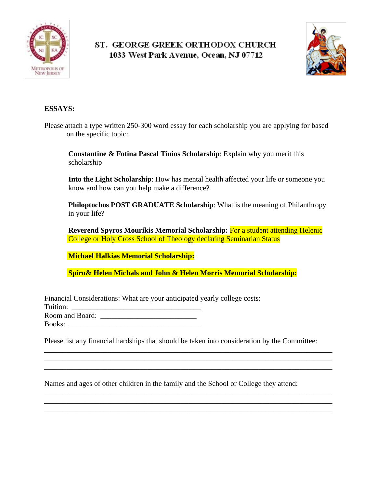



### **ESSAYS:**

Please attach a type written 250-300 word essay for each scholarship you are applying for based on the specific topic:

**Constantine & Fotina Pascal Tinios Scholarship**: Explain why you merit this scholarship

**Into the Light Scholarship**: How has mental health affected your life or someone you know and how can you help make a difference?

**Philoptochos POST GRADUATE Scholarship**: What is the meaning of Philanthropy in your life?

**Reverend Spyros Mourikis Memorial Scholarship:** For a student attending Helenic College or Holy Cross School of Theology declaring Seminarian Status

**Michael Halkias Memorial Scholarship:**

**Spiro& Helen Michals and John & Helen Morris Memorial Scholarship:**

Financial Considerations: What are your anticipated yearly college costs:

Tuition: \_\_\_\_\_\_\_\_\_\_\_\_\_\_\_\_\_\_\_\_\_\_\_\_\_\_\_\_\_\_\_\_\_\_\_ Room and Board:

Books: \_\_\_\_\_\_\_\_\_\_\_\_\_\_\_\_\_\_\_\_\_\_\_\_\_\_\_\_\_\_\_\_\_\_\_\_

Please list any financial hardships that should be taken into consideration by the Committee:

\_\_\_\_\_\_\_\_\_\_\_\_\_\_\_\_\_\_\_\_\_\_\_\_\_\_\_\_\_\_\_\_\_\_\_\_\_\_\_\_\_\_\_\_\_\_\_\_\_\_\_\_\_\_\_\_\_\_\_\_\_\_\_\_\_\_\_\_\_\_\_\_\_\_\_\_\_\_ \_\_\_\_\_\_\_\_\_\_\_\_\_\_\_\_\_\_\_\_\_\_\_\_\_\_\_\_\_\_\_\_\_\_\_\_\_\_\_\_\_\_\_\_\_\_\_\_\_\_\_\_\_\_\_\_\_\_\_\_\_\_\_\_\_\_\_\_\_\_\_\_\_\_\_\_\_\_ \_\_\_\_\_\_\_\_\_\_\_\_\_\_\_\_\_\_\_\_\_\_\_\_\_\_\_\_\_\_\_\_\_\_\_\_\_\_\_\_\_\_\_\_\_\_\_\_\_\_\_\_\_\_\_\_\_\_\_\_\_\_\_\_\_\_\_\_\_\_\_\_\_\_\_\_\_\_

\_\_\_\_\_\_\_\_\_\_\_\_\_\_\_\_\_\_\_\_\_\_\_\_\_\_\_\_\_\_\_\_\_\_\_\_\_\_\_\_\_\_\_\_\_\_\_\_\_\_\_\_\_\_\_\_\_\_\_\_\_\_\_\_\_\_\_\_\_\_\_\_\_\_\_\_\_\_ \_\_\_\_\_\_\_\_\_\_\_\_\_\_\_\_\_\_\_\_\_\_\_\_\_\_\_\_\_\_\_\_\_\_\_\_\_\_\_\_\_\_\_\_\_\_\_\_\_\_\_\_\_\_\_\_\_\_\_\_\_\_\_\_\_\_\_\_\_\_\_\_\_\_\_\_\_\_ \_\_\_\_\_\_\_\_\_\_\_\_\_\_\_\_\_\_\_\_\_\_\_\_\_\_\_\_\_\_\_\_\_\_\_\_\_\_\_\_\_\_\_\_\_\_\_\_\_\_\_\_\_\_\_\_\_\_\_\_\_\_\_\_\_\_\_\_\_\_\_\_\_\_\_\_\_\_

Names and ages of other children in the family and the School or College they attend: